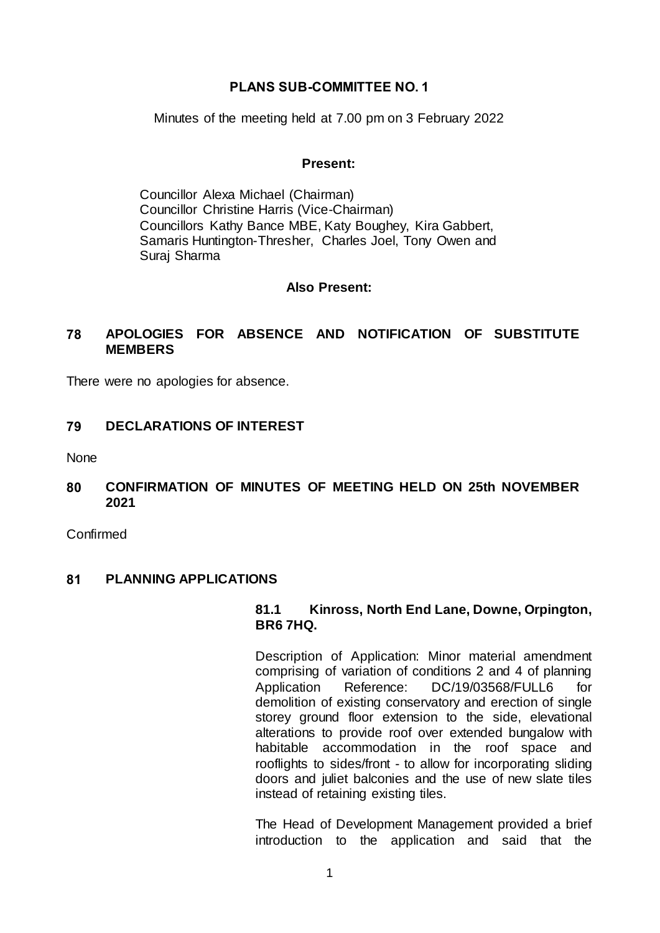#### **PLANS SUB-COMMITTEE NO. 1**

Minutes of the meeting held at 7.00 pm on 3 February 2022

#### **Present:**

Councillor Alexa Michael (Chairman) Councillor Christine Harris (Vice-Chairman) Councillors Kathy Bance MBE, Katy Boughey, Kira Gabbert, Samaris Huntington-Thresher, Charles Joel, Tony Owen and Suraj Sharma

#### **Also Present:**

## **78 APOLOGIES FOR ABSENCE AND NOTIFICATION OF SUBSTITUTE MEMBERS**

There were no apologies for absence.

### **79 DECLARATIONS OF INTEREST**

None

#### **80 CONFIRMATION OF MINUTES OF MEETING HELD ON 25th NOVEMBER 2021**

Confirmed

#### **81 PLANNING APPLICATIONS**

#### **81.1 Kinross, North End Lane, Downe, Orpington, BR6 7HQ.**

Description of Application: Minor material amendment comprising of variation of conditions 2 and 4 of planning Application Reference: DC/19/03568/FULL6 demolition of existing conservatory and erection of single storey ground floor extension to the side, elevational alterations to provide roof over extended bungalow with habitable accommodation in the roof space and rooflights to sides/front - to allow for incorporating sliding doors and juliet balconies and the use of new slate tiles instead of retaining existing tiles.

The Head of Development Management provided a brief introduction to the application and said that the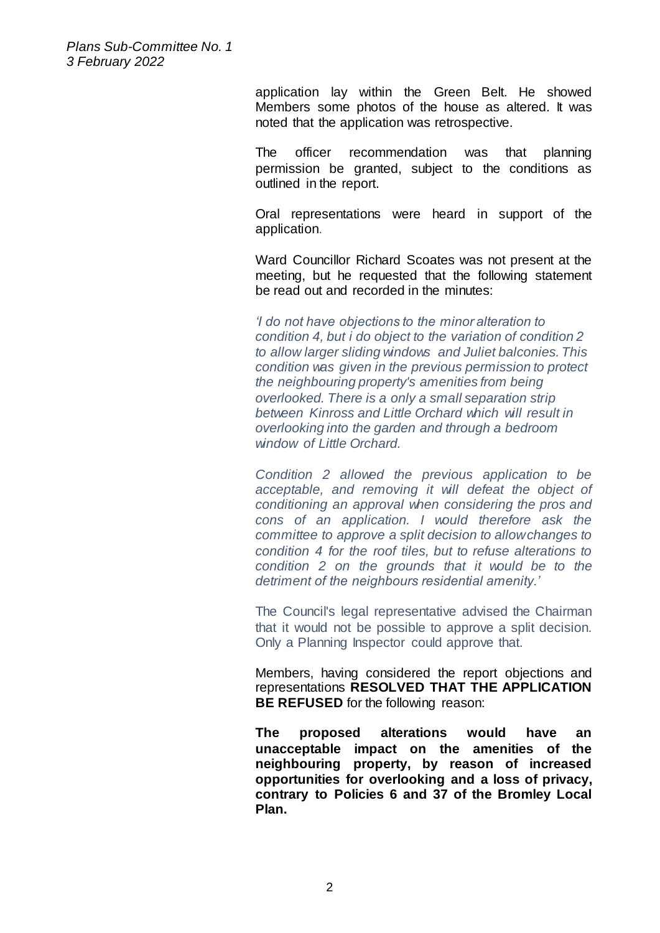> application lay within the Green Belt. He showed Members some photos of the house as altered. It was noted that the application was retrospective.

> The officer recommendation was that planning permission be granted, subject to the conditions as outlined in the report.

> Oral representations were heard in support of the application.

> Ward Councillor Richard Scoates was not present at the meeting, but he requested that the following statement be read out and recorded in the minutes:

*'I do not have objections to the minor alteration to condition 4, but i do object to the variation of condition 2 to allow larger sliding windows and Juliet balconies. This condition was given in the previous permission to protect the neighbouring property's amenities from being overlooked. There is a only a small separation strip between Kinross and Little Orchard which will result in overlooking into the garden and through a bedroom window of Little Orchard.* 

*Condition 2 allowed the previous application to be acceptable, and removing it will defeat the object of conditioning an approval when considering the pros and cons of an application. I would therefore ask the committee to approve a split decision to allow changes to condition 4 for the roof tiles, but to refuse alterations to condition 2 on the grounds that it would be to the detriment of the neighbours residential amenity.'*

The Council's legal representative advised the Chairman that it would not be possible to approve a split decision. Only a Planning Inspector could approve that.

Members, having considered the report objections and representations **RESOLVED THAT THE APPLICATION BE REFUSED** for the following reason:

**The proposed alterations would have an unacceptable impact on the amenities of the neighbouring property, by reason of increased opportunities for overlooking and a loss of privacy, contrary to Policies 6 and 37 of the Bromley Local Plan.**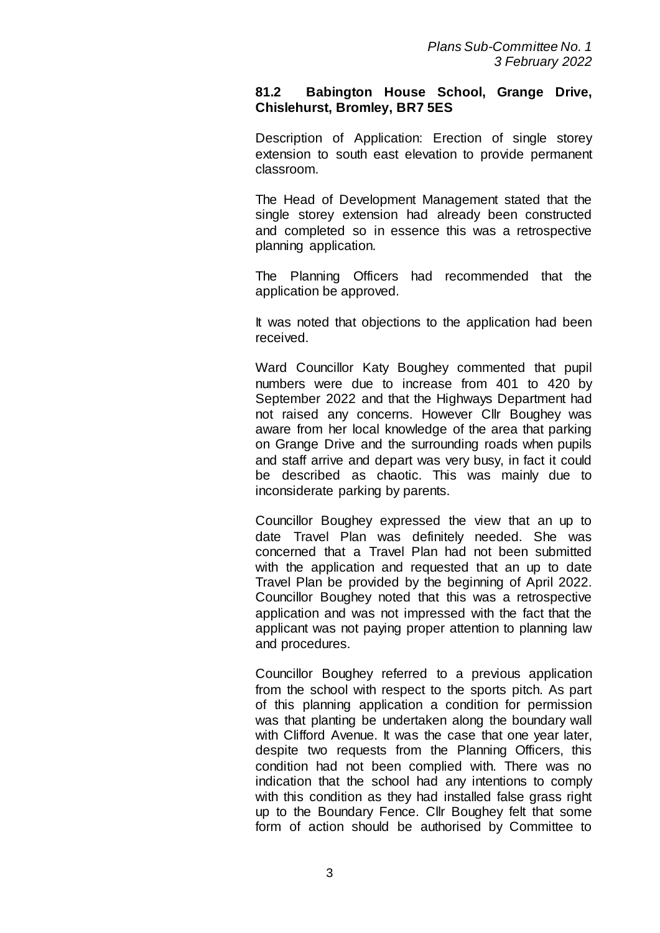#### **81.2 Babington House School, Grange Drive, Chislehurst, Bromley, BR7 5ES**

Description of Application: Erection of single storey extension to south east elevation to provide permanent classroom.

The Head of Development Management stated that the single storey extension had already been constructed and completed so in essence this was a retrospective planning application.

The Planning Officers had recommended that the application be approved.

It was noted that objections to the application had been received.

Ward Councillor Katy Boughey commented that pupil numbers were due to increase from 401 to 420 by September 2022 and that the Highways Department had not raised any concerns. However Cllr Boughey was aware from her local knowledge of the area that parking on Grange Drive and the surrounding roads when pupils and staff arrive and depart was very busy, in fact it could be described as chaotic. This was mainly due to inconsiderate parking by parents.

Councillor Boughey expressed the view that an up to date Travel Plan was definitely needed. She was concerned that a Travel Plan had not been submitted with the application and requested that an up to date Travel Plan be provided by the beginning of April 2022. Councillor Boughey noted that this was a retrospective application and was not impressed with the fact that the applicant was not paying proper attention to planning law and procedures.

Councillor Boughey referred to a previous application from the school with respect to the sports pitch. As part of this planning application a condition for permission was that planting be undertaken along the boundary wall with Clifford Avenue. It was the case that one year later, despite two requests from the Planning Officers, this condition had not been complied with. There was no indication that the school had any intentions to comply with this condition as they had installed false grass right up to the Boundary Fence. Cllr Boughey felt that some form of action should be authorised by Committee to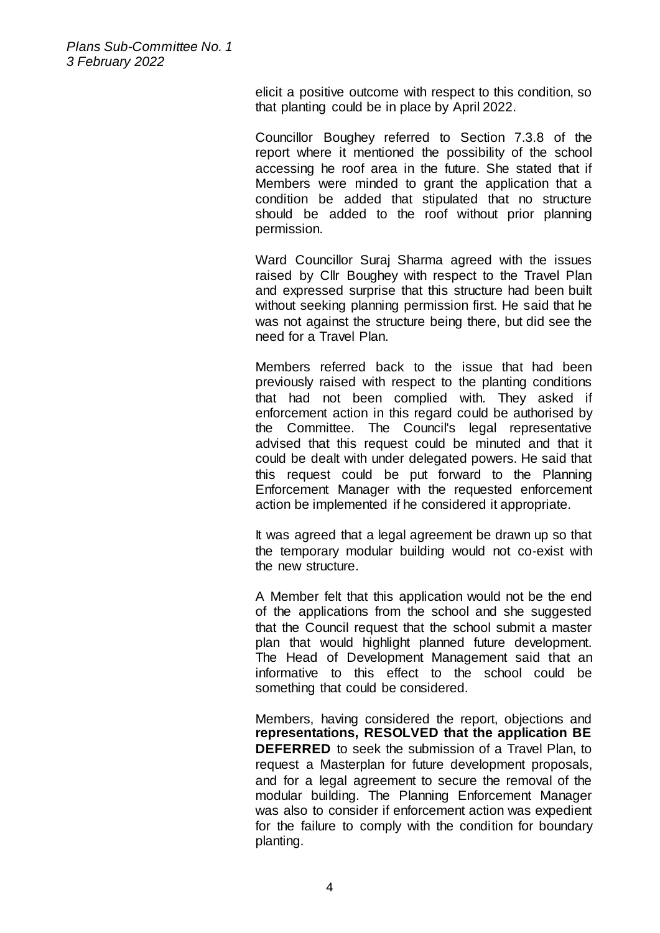> elicit a positive outcome with respect to this condition, so that planting could be in place by April 2022.

> Councillor Boughey referred to Section 7.3.8 of the report where it mentioned the possibility of the school accessing he roof area in the future. She stated that if Members were minded to grant the application that a condition be added that stipulated that no structure should be added to the roof without prior planning permission.

> Ward Councillor Suraj Sharma agreed with the issues raised by Cllr Boughey with respect to the Travel Plan and expressed surprise that this structure had been built without seeking planning permission first. He said that he was not against the structure being there, but did see the need for a Travel Plan.

> Members referred back to the issue that had been previously raised with respect to the planting conditions that had not been complied with. They asked if enforcement action in this regard could be authorised by the Committee. The Council's legal representative advised that this request could be minuted and that it could be dealt with under delegated powers. He said that this request could be put forward to the Planning Enforcement Manager with the requested enforcement action be implemented if he considered it appropriate.

> It was agreed that a legal agreement be drawn up so that the temporary modular building would not co-exist with the new structure.

> A Member felt that this application would not be the end of the applications from the school and she suggested that the Council request that the school submit a master plan that would highlight planned future development. The Head of Development Management said that an informative to this effect to the school could be something that could be considered.

> Members, having considered the report, objections and **representations, RESOLVED that the application BE DEFERRED** to seek the submission of a Travel Plan, to request a Masterplan for future development proposals, and for a legal agreement to secure the removal of the modular building. The Planning Enforcement Manager was also to consider if enforcement action was expedient for the failure to comply with the condition for boundary planting.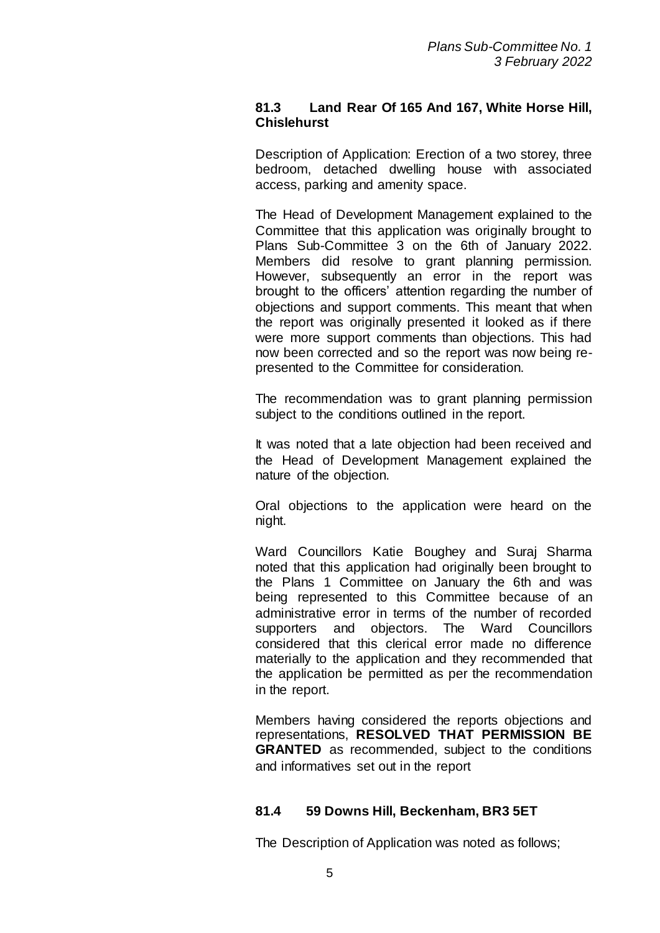## **81.3 Land Rear Of 165 And 167, White Horse Hill, Chislehurst**

Description of Application: Erection of a two storey, three bedroom, detached dwelling house with associated access, parking and amenity space.

The Head of Development Management explained to the Committee that this application was originally brought to Plans Sub-Committee 3 on the 6th of January 2022. Members did resolve to grant planning permission. However, subsequently an error in the report was brought to the officers' attention regarding the number of objections and support comments. This meant that when the report was originally presented it looked as if there were more support comments than objections. This had now been corrected and so the report was now being represented to the Committee for consideration.

The recommendation was to grant planning permission subject to the conditions outlined in the report.

It was noted that a late objection had been received and the Head of Development Management explained the nature of the objection.

Oral objections to the application were heard on the night.

Ward Councillors Katie Boughey and Suraj Sharma noted that this application had originally been brought to the Plans 1 Committee on January the 6th and was being represented to this Committee because of an administrative error in terms of the number of recorded supporters and objectors. The Ward Councillors considered that this clerical error made no difference materially to the application and they recommended that the application be permitted as per the recommendation in the report.

Members having considered the reports objections and representations, **RESOLVED THAT PERMISSION BE GRANTED** as recommended, subject to the conditions and informatives set out in the report

# **81.4 59 Downs Hill, Beckenham, BR3 5ET**

The Description of Application was noted as follows;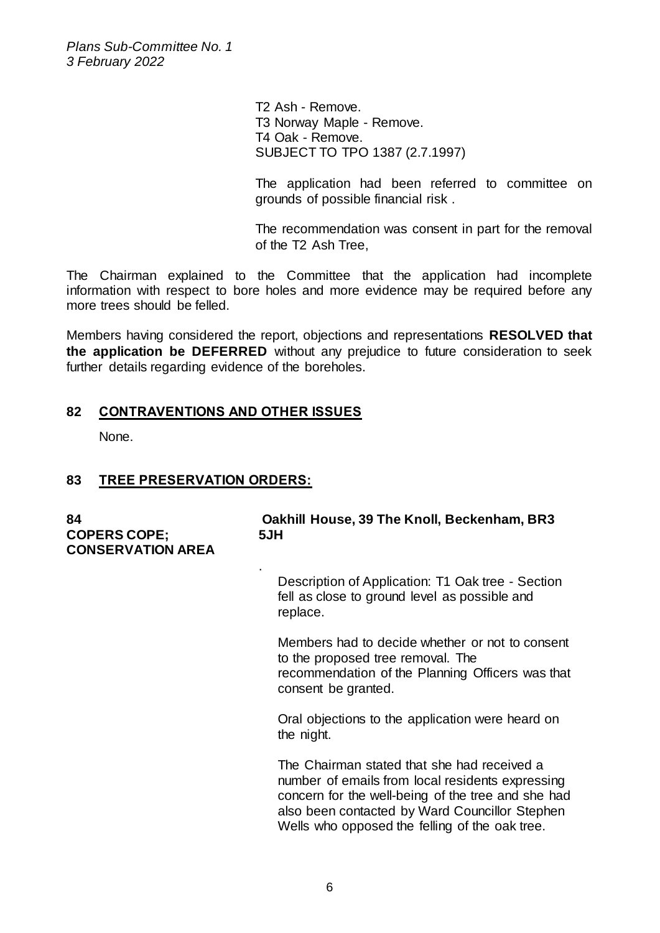> T2 Ash - Remove. T3 Norway Maple - Remove. T4 Oak - Remove. SUBJECT TO TPO 1387 (2.7.1997)

The application had been referred to committee on grounds of possible financial risk .

The recommendation was consent in part for the removal of the T2 Ash Tree,

The Chairman explained to the Committee that the application had incomplete information with respect to bore holes and more evidence may be required before any more trees should be felled.

Members having considered the report, objections and representations **RESOLVED that the application be DEFERRED** without any prejudice to future consideration to seek further details regarding evidence of the boreholes.

### **82 CONTRAVENTIONS AND OTHER ISSUES**

None.

# **83 TREE PRESERVATION ORDERS:**

| 84<br><b>COPERS COPE;</b><br><b>CONSERVATION AREA</b> | Oakhill House, 39 The Knoll, Beckenham, BR3<br>5JH                                                                                                                                                                                                        |
|-------------------------------------------------------|-----------------------------------------------------------------------------------------------------------------------------------------------------------------------------------------------------------------------------------------------------------|
|                                                       | $\blacksquare$<br>Description of Application: T1 Oak tree - Section<br>fell as close to ground level as possible and<br>replace.                                                                                                                          |
|                                                       | Members had to decide whether or not to consent<br>to the proposed tree removal. The<br>recommendation of the Planning Officers was that<br>consent be granted.                                                                                           |
|                                                       | Oral objections to the application were heard on<br>the night.                                                                                                                                                                                            |
|                                                       | The Chairman stated that she had received a<br>number of emails from local residents expressing<br>concern for the well-being of the tree and she had<br>also been contacted by Ward Councillor Stephen<br>Wells who opposed the felling of the oak tree. |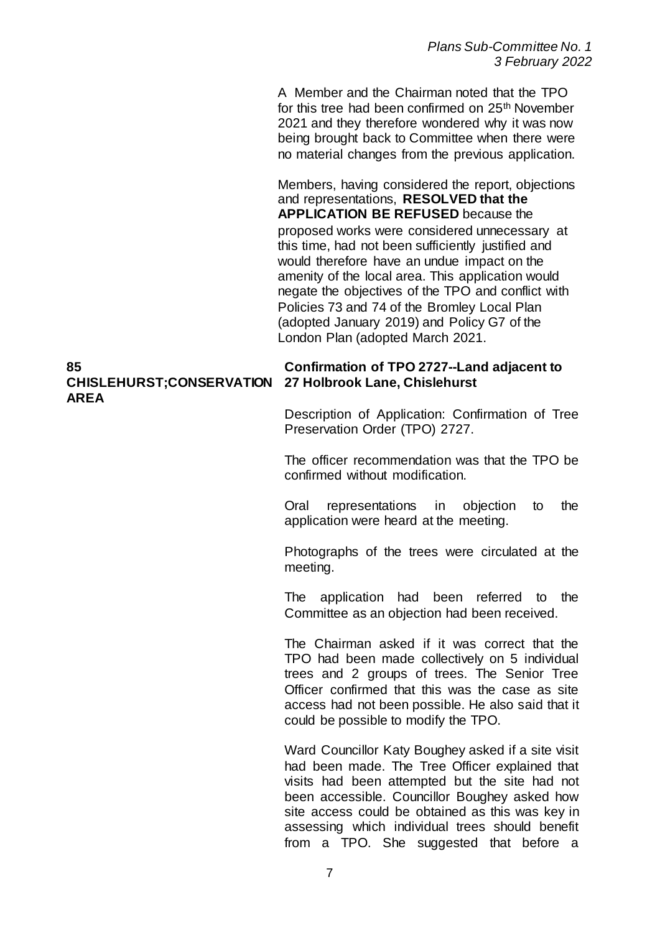A Member and the Chairman noted that the TPO for this tree had been confirmed on 25<sup>th</sup> November 2021 and they therefore wondered why it was now being brought back to Committee when there were no material changes from the previous application.

Members, having considered the report, objections and representations, **RESOLVED that the APPLICATION BE REFUSED** because the proposed works were considered unnecessary at this time, had not been sufficiently justified and would therefore have an undue impact on the amenity of the local area. This application would negate the objectives of the TPO and conflict with Policies 73 and 74 of the Bromley Local Plan (adopted January 2019) and Policy G7 of the London Plan (adopted March 2021.

#### **85 CHISLEHURST;CONSERVATION 27 Holbrook Lane, Chislehurst AREA**

# **Confirmation of TPO 2727--Land adjacent to**

Description of Application: Confirmation of Tree Preservation Order (TPO) 2727.

The officer recommendation was that the TPO be confirmed without modification.

Oral representations in objection to the application were heard at the meeting.

Photographs of the trees were circulated at the meeting.

The application had been referred to the Committee as an objection had been received.

The Chairman asked if it was correct that the TPO had been made collectively on 5 individual trees and 2 groups of trees. The Senior Tree Officer confirmed that this was the case as site access had not been possible. He also said that it could be possible to modify the TPO.

Ward Councillor Katy Boughey asked if a site visit had been made. The Tree Officer explained that visits had been attempted but the site had not been accessible. Councillor Boughey asked how site access could be obtained as this was key in assessing which individual trees should benefit from a TPO. She suggested that before a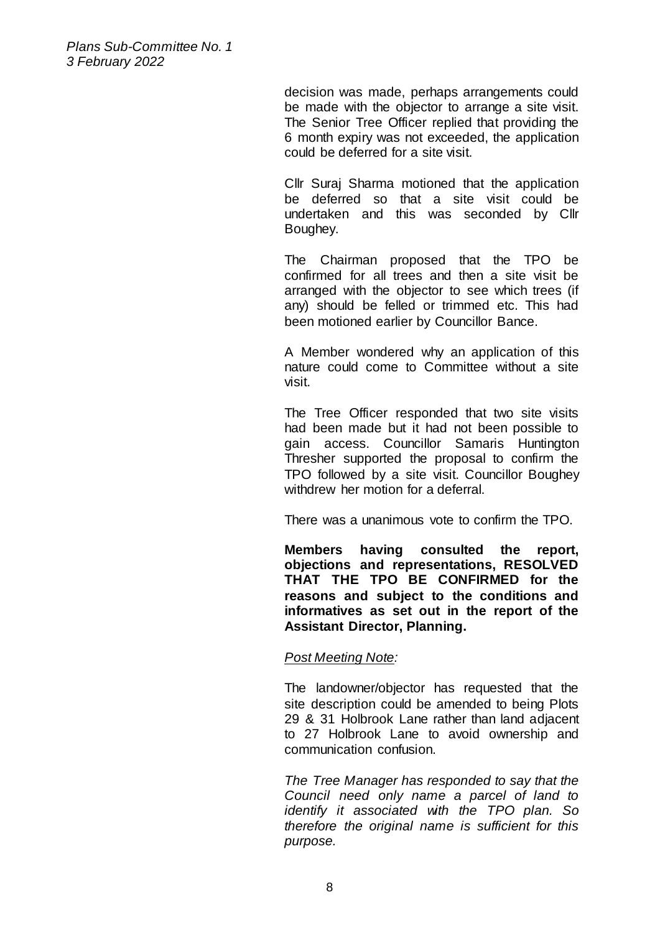> decision was made, perhaps arrangements could be made with the objector to arrange a site visit. The Senior Tree Officer replied that providing the 6 month expiry was not exceeded, the application could be deferred for a site visit.

> Cllr Suraj Sharma motioned that the application be deferred so that a site visit could be undertaken and this was seconded by Cllr Boughey.

> The Chairman proposed that the TPO be confirmed for all trees and then a site visit be arranged with the objector to see which trees (if any) should be felled or trimmed etc. This had been motioned earlier by Councillor Bance.

> A Member wondered why an application of this nature could come to Committee without a site visit.

> The Tree Officer responded that two site visits had been made but it had not been possible to gain access. Councillor Samaris Huntington Thresher supported the proposal to confirm the TPO followed by a site visit. Councillor Boughey withdrew her motion for a deferral.

There was a unanimous vote to confirm the TPO.

**Members having consulted the report, objections and representations, RESOLVED THAT THE TPO BE CONFIRMED for the reasons and subject to the conditions and informatives as set out in the report of the Assistant Director, Planning.** 

#### *Post Meeting Note:*

The landowner/objector has requested that the site description could be amended to being Plots 29 & 31 Holbrook Lane rather than land adjacent to 27 Holbrook Lane to avoid ownership and communication confusion.

*The Tree Manager has responded to say that the Council need only name a parcel of land to identify it associated with the TPO plan. So therefore the original name is sufficient for this purpose.*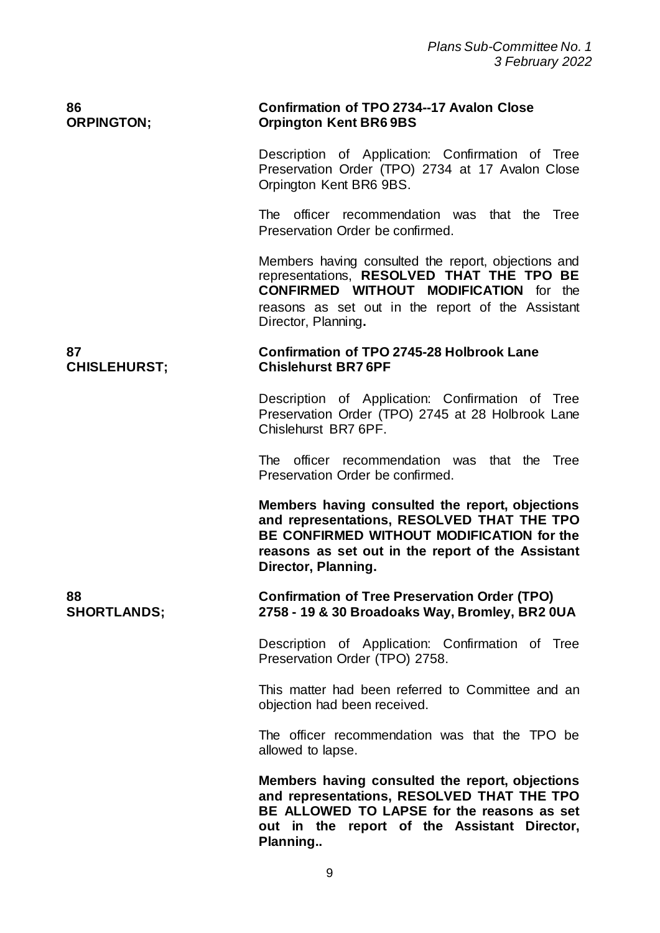| 86<br><b>ORPINGTON;</b>   | <b>Confirmation of TPO 2734--17 Avalon Close</b><br><b>Orpington Kent BR6 9BS</b>                                                                                                                                             |
|---------------------------|-------------------------------------------------------------------------------------------------------------------------------------------------------------------------------------------------------------------------------|
|                           | Description of Application: Confirmation of Tree<br>Preservation Order (TPO) 2734 at 17 Avalon Close<br>Orpington Kent BR6 9BS.                                                                                               |
|                           | The officer recommendation was that the Tree<br>Preservation Order be confirmed.                                                                                                                                              |
|                           | Members having consulted the report, objections and<br>representations, RESOLVED THAT THE TPO BE<br><b>CONFIRMED WITHOUT MODIFICATION</b> for the<br>reasons as set out in the report of the Assistant<br>Director, Planning. |
| 87<br><b>CHISLEHURST;</b> | <b>Confirmation of TPO 2745-28 Holbrook Lane</b><br><b>Chislehurst BR76PF</b>                                                                                                                                                 |
|                           | Description of Application: Confirmation of Tree<br>Preservation Order (TPO) 2745 at 28 Holbrook Lane<br>Chislehurst BR7 6PF.                                                                                                 |
|                           | The officer recommendation was that the Tree<br>Preservation Order be confirmed.                                                                                                                                              |
|                           | Members having consulted the report, objections<br>and representations, RESOLVED THAT THE TPO<br>BE CONFIRMED WITHOUT MODIFICATION for the<br>reasons as set out in the report of the Assistant<br>Director, Planning.        |
| 88<br><b>SHORTLANDS;</b>  | <b>Confirmation of Tree Preservation Order (TPO)</b><br>2758 - 19 & 30 Broadoaks Way, Bromley, BR2 0UA                                                                                                                        |
|                           | Description of Application: Confirmation of Tree<br>Preservation Order (TPO) 2758.                                                                                                                                            |
|                           | This matter had been referred to Committee and an<br>objection had been received.                                                                                                                                             |
|                           | The officer recommendation was that the TPO be<br>allowed to lapse.                                                                                                                                                           |
|                           | Members having consulted the report, objections<br>and representations, RESOLVED THAT THE TPO<br>BE ALLOWED TO LAPSE for the reasons as set<br>out in the report of the Assistant Director,<br>Planning                       |